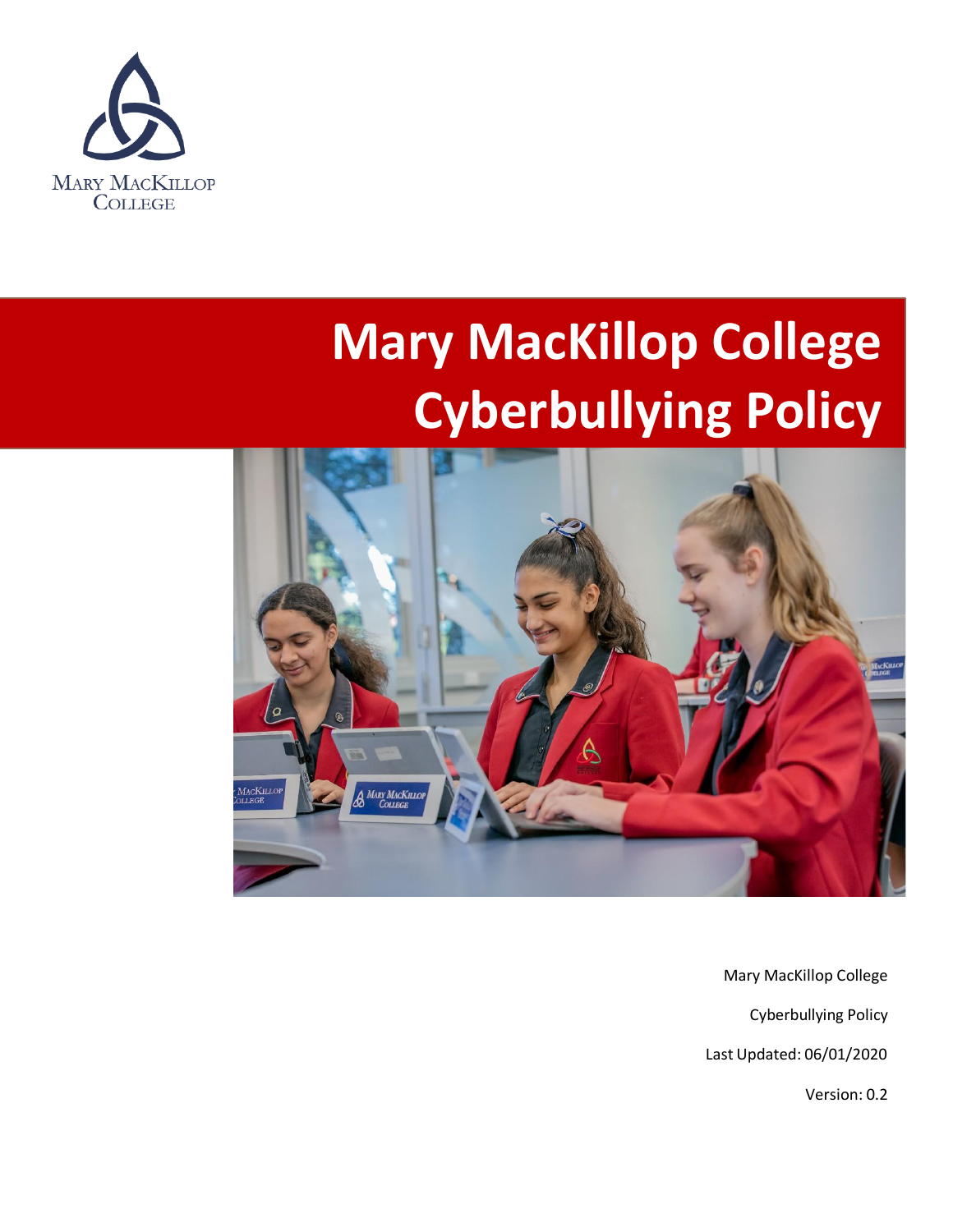

# **Mary MacKillop College Cyberbullying Policy**



Mary MacKillop College

Cyberbullying Policy

Last Updated: 06/01/2020

Version: 0.2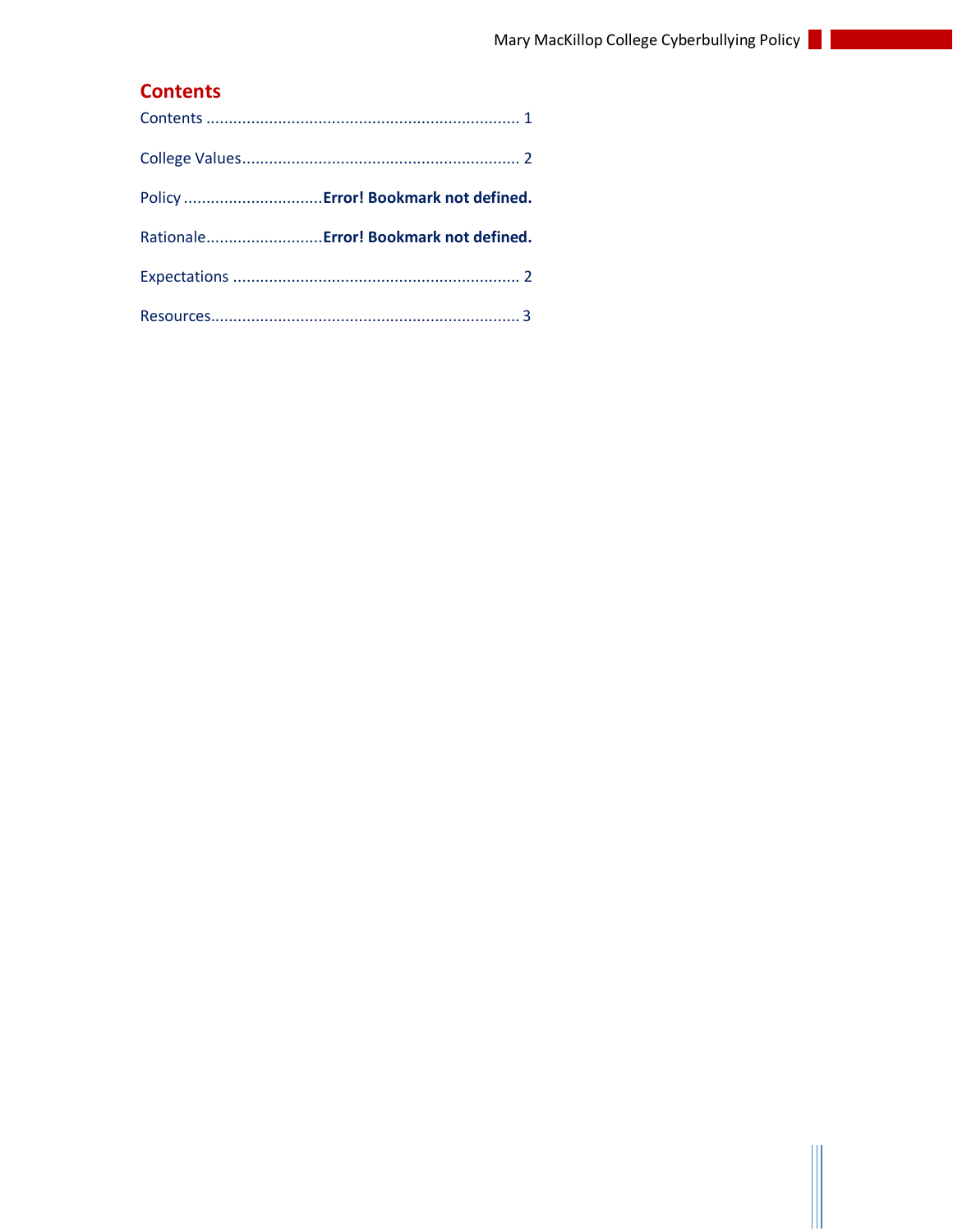## <span id="page-1-0"></span>**Contents**

| Policy  Error! Bookmark not defined.   |
|----------------------------------------|
| Rationale Error! Bookmark not defined. |
|                                        |
|                                        |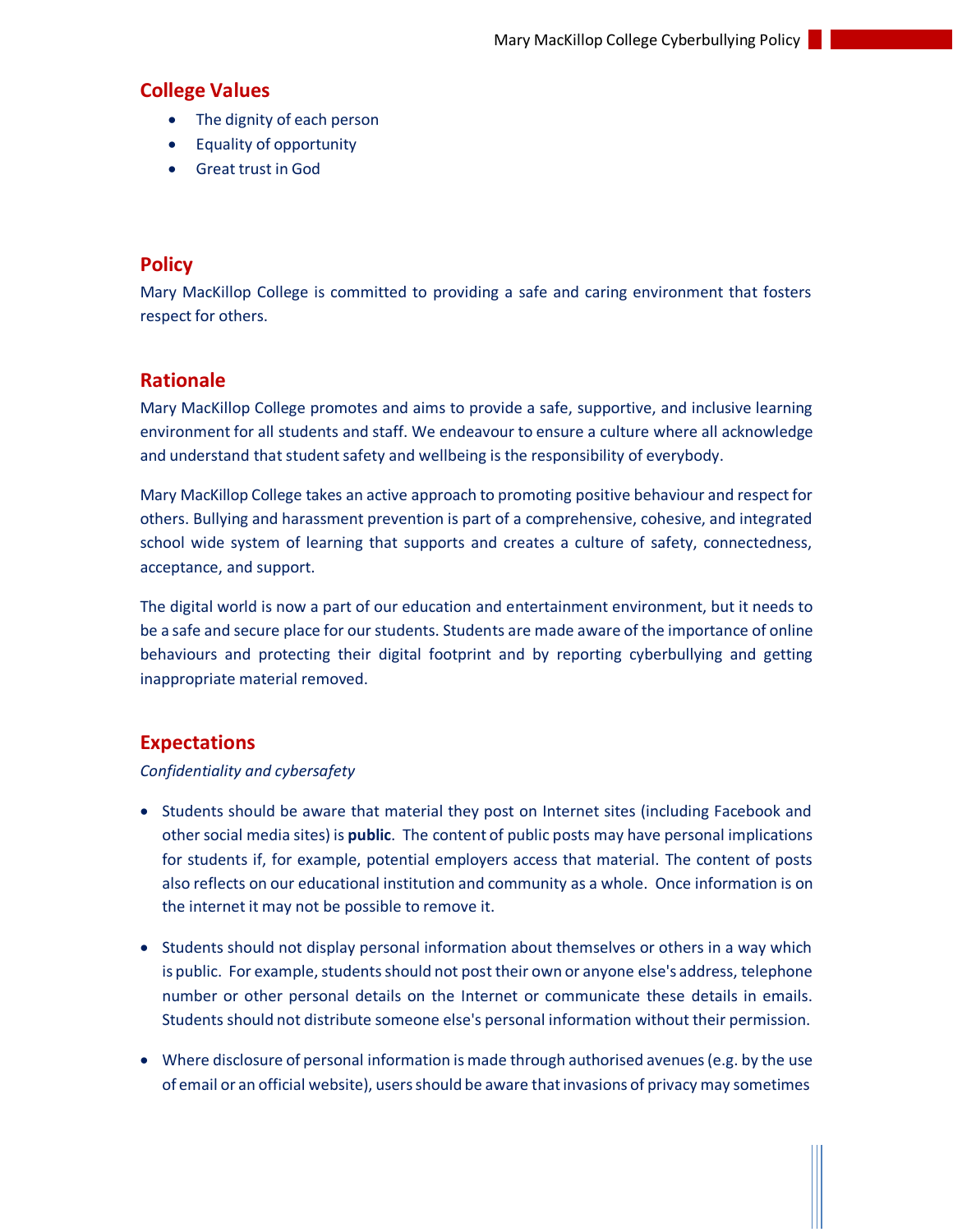#### <span id="page-2-0"></span>**College Values**

- The dignity of each person
- Equality of opportunity
- Great trust in God

### **Policy**

Mary MacKillop College is committed to providing a safe and caring environment that fosters respect for others.

## **Rationale**

Mary MacKillop College promotes and aims to provide a safe, supportive, and inclusive learning environment for all students and staff. We endeavour to ensure a culture where all acknowledge and understand that student safety and wellbeing is the responsibility of everybody.

Mary MacKillop College takes an active approach to promoting positive behaviour and respect for others. Bullying and harassment prevention is part of a comprehensive, cohesive, and integrated school wide system of learning that supports and creates a culture of safety, connectedness, acceptance, and support.

The digital world is now a part of our education and entertainment environment, but it needs to be a safe and secure place for our students. Students are made aware of the importance of online behaviours and protecting their digital footprint and by reporting cyberbullying and getting inappropriate material removed.

#### <span id="page-2-1"></span>**Expectations**

#### *Confidentiality and cybersafety*

- Students should be aware that material they post on Internet sites (including Facebook and other social media sites) is **public**. The content of public posts may have personal implications for students if, for example, potential employers access that material. The content of posts also reflects on our educational institution and community as a whole. Once information is on the internet it may not be possible to remove it.
- Students should not display personal information about themselves or others in a way which is public. For example, students should not post their own or anyone else's address, telephone number or other personal details on the Internet or communicate these details in emails. Students should not distribute someone else's personal information without their permission.
- Where disclosure of personal information is made through authorised avenues (e.g. by the use of email or an official website), usersshould be aware thatinvasions of privacy may sometimes